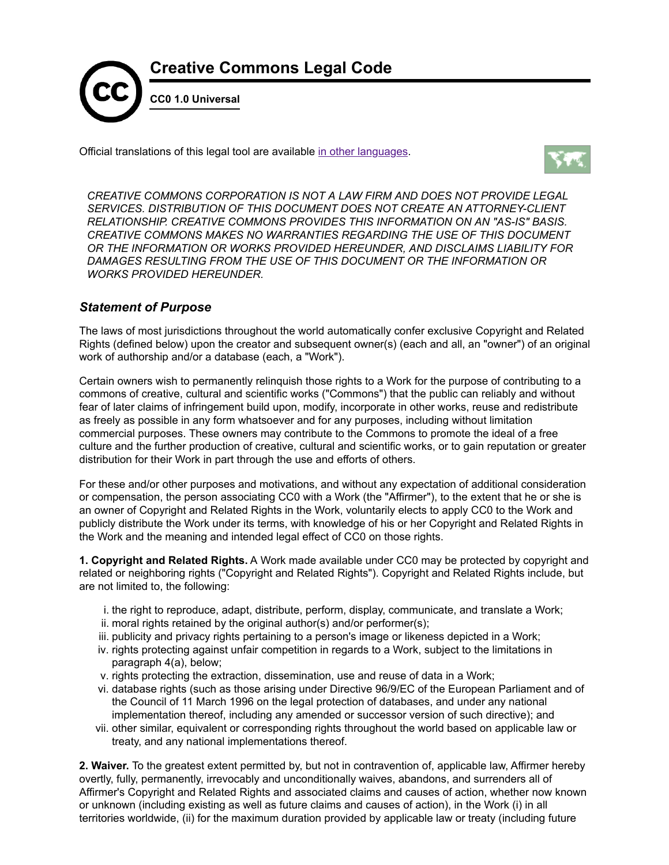

Official translations of this legal tool are available in other [languages](#page-1-0).



*CREATIVE COMMONS CORPORATION IS NOT A LAW FIRM AND DOES NOT PROVIDE LEGAL SERVICES. DISTRIBUTION OF THIS DOCUMENT DOES NOT CREATE AN ATTORNEY-CLIENT RELATIONSHIP. CREATIVE COMMONS PROVIDES THIS INFORMATION ON AN "AS-IS" BASIS. CREATIVE COMMONS MAKES NO WARRANTIES REGARDING THE USE OF THIS DOCUMENT OR THE INFORMATION OR WORKS PROVIDED HEREUNDER, AND DISCLAIMS LIABILITY FOR DAMAGES RESULTING FROM THE USE OF THIS DOCUMENT OR THE INFORMATION OR WORKS PROVIDED HEREUNDER.*

## *Statement of Purpose*

The laws of most jurisdictions throughout the world automatically confer exclusive Copyright and Related Rights (defined below) upon the creator and subsequent owner(s) (each and all, an "owner") of an original work of authorship and/or a database (each, a "Work").

Certain owners wish to permanently relinquish those rights to a Work for the purpose of contributing to a commons of creative, cultural and scientific works ("Commons") that the public can reliably and without fear of later claims of infringement build upon, modify, incorporate in other works, reuse and redistribute as freely as possible in any form whatsoever and for any purposes, including without limitation commercial purposes. These owners may contribute to the Commons to promote the ideal of a free culture and the further production of creative, cultural and scientific works, or to gain reputation or greater distribution for their Work in part through the use and efforts of others.

For these and/or other purposes and motivations, and without any expectation of additional consideration or compensation, the person associating CC0 with a Work (the "Affirmer"), to the extent that he or she is an owner of Copyright and Related Rights in the Work, voluntarily elects to apply CC0 to the Work and publicly distribute the Work under its terms, with knowledge of his or her Copyright and Related Rights in the Work and the meaning and intended legal effect of CC0 on those rights.

**1. Copyright and Related Rights.** A Work made available under CC0 may be protected by copyright and related or neighboring rights ("Copyright and Related Rights"). Copyright and Related Rights include, but are not limited to, the following:

- i. the right to reproduce, adapt, distribute, perform, display, communicate, and translate a Work;
- ii. moral rights retained by the original author(s) and/or performer(s);
- iii. publicity and privacy rights pertaining to a person's image or likeness depicted in a Work;
- iv. rights protecting against unfair competition in regards to a Work, subject to the limitations in paragraph 4(a), below;
- v. rights protecting the extraction, dissemination, use and reuse of data in a Work;
- vi. database rights (such as those arising under Directive 96/9/EC of the European Parliament and of the Council of 11 March 1996 on the legal protection of databases, and under any national implementation thereof, including any amended or successor version of such directive); and
- vii. other similar, equivalent or corresponding rights throughout the world based on applicable law or treaty, and any national implementations thereof.

**2. Waiver.** To the greatest extent permitted by, but not in contravention of, applicable law, Affirmer hereby overtly, fully, permanently, irrevocably and unconditionally waives, abandons, and surrenders all of Affirmer's Copyright and Related Rights and associated claims and causes of action, whether now known or unknown (including existing as well as future claims and causes of action), in the Work (i) in all territories worldwide, (ii) for the maximum duration provided by applicable law or treaty (including future